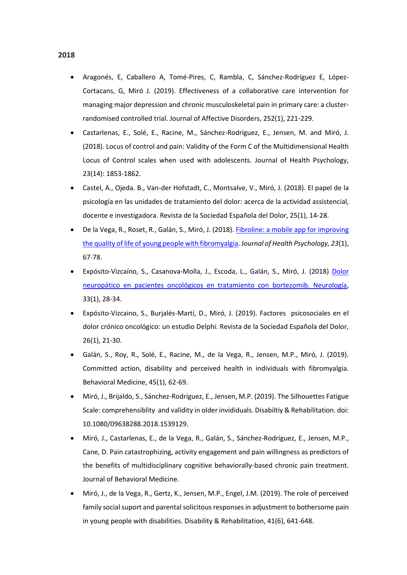- Aragonés, E, Caballero A, Tomé-Pires, C, Rambla, C, Sánchez-Rodríguez E, López-Cortacans, G, Miró J. (2019). Effectiveness of a collaborative care intervention for managing major depression and chronic musculoskeletal pain in primary care: a clusterrandomised controlled trial. Journal of Affective Disorders, 252(1), 221-229.
- Castarlenas, E., Solé, E., Racine, M., Sánchez-Rodríguez, E., Jensen, M. and Miró, J. (2018). Locus of control and pain: Validity of the Form C of the Multidimensional Health Locus of Control scales when used with adolescents. Journal of Health Psychology, 23(14): 1853-1862.
- Castel, A., Ojeda. B., Van-der Hofstadt, C., Montsalve, V., Miró, J. (2018). El papel de la psicología en las unidades de tratamiento del dolor: acerca de la actividad assistencial, docente e investigadora. Revista de la Sociedad Española del Dolor, 25(1), 14-28.
- De la Vega, R., Roset, R., Galán, S., Miró, J. (2018). [Fibroline: a mobile app for improving](http://journals.sagepub.com/doi/abs/10.1177/1359105316650509?journalCode=hpqa)  [the quality of life of young people with fibromyalgia.](http://journals.sagepub.com/doi/abs/10.1177/1359105316650509?journalCode=hpqa) J*ournal of Health Psychology, 23*(1), 67-78.
- Expósito-Vizcaíno, S., Casanova-Molla, J., Escoda, L., Galán, S., Miró, J. (2018) [Dolor](http://www.elsevier.es/es-revista-neurologia-295-avance-resumen-dolor-neuropatico-pacientes-oncologicos-tratamiento-S0213485316300846)  [neuropático en pacientes oncológicos en tratamiento con bortezomib. Neurología,](http://www.elsevier.es/es-revista-neurologia-295-avance-resumen-dolor-neuropatico-pacientes-oncologicos-tratamiento-S0213485316300846) 33(1), 28-34.
- Expósito-Vizcaino, S., Burjalés-Martí, D., Miró, J. (2019). Factores psicosociales en el dolor crónico oncológico: un estudio Delphi. Revista de la Sociedad Española del Dolor, 26(1), 21-30.
- Galán, S., Roy, R., Solé, E., Racine, M., de la Vega, R., Jensen, M.P., Miró, J. (2019). Committed action, disability and perceived health in individuals with fibromyalgia. Behavioral Medicine, 45(1), 62-69.
- Miró, J., Brijaldo, S., Sánchez-Rodríguez, E., Jensen, M.P. (2019). The Silhouettes Fatigue Scale: comprehensiblity and validity in older invididuals. Disabiltiy & Rehabilitation. doi: 10.1080/09638288.2018.1539129.
- Miró, J., Castarlenas, E., de la Vega, R., Galán, S., Sánchez-Rodríguez, E., Jensen, M.P., Cane, D. Pain catastrophizing, activity engagement and pain willingness as predictors of the benefits of multidisciplinary cognitive behaviorally-based chronic pain treatment. Journal of Behavioral Medicine.
- Miró, J., de la Vega, R., Gertz, K., Jensen, M.P., Engel, J.M. (2019). The role of perceived family social suport and parental solicitous responses in adjustment to bothersome pain in young people with disabilities. Disability & Rehabilitation, 41(6), 641-648.

## **2018**